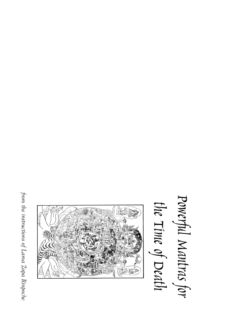from the instructions of Lama Zopa Rinpoche from the instructions of Lama Zopa Rinpoche



Powerful Mantras for Powerful Mantras for the Time of Death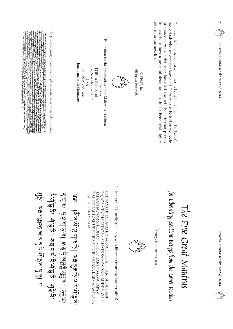| The powerful purifying mantras to place on the body of one whos is dying<br><b>ARACHARASHARASHAR</b><br>શ્વા (એવા) એન્ફ્રી કહ્યુ તે છે છે. તે કેટ મહેરા જે કરવરમારું કે તુરું જ નિર્દાણ જણાવ્યું જ તે જાણે જ પણ આવ્યું<br>આ પણ પર જો કોશો એ પ્રેશ્વરા બાત છે? જ કરવરમારું મૂર્ય તેમ મુશ્યમ જ વિશ્વરા શિકા જો જાણે વિશ્વ મૂર્યા બાદ જ વાય<br>电分子<br>By Orient<br>西安<br>January 11<br><b>MARINE CREATED AT A TANK AND REAL</b><br><b>REAL PROPERTY OF LAND AND REAL PROPERTY</b><br>กระทำให้เพื่อนที่สุดให้ที่ที่สุดให้ที่<br>กระทำให้เพื่อนที่สุดให้ที่สุดให้ที่ | Email: materials@fpmt.org<br>Tel: 1(505)758-7766                                                                          | Foundation for the Preservation of the Mahayana Tradition<br>Taos, New Mexico 87571<br>.25B La Posta Road<br>Education Services<br>DSA                                                                                             |                                                                  | All rights reserved.<br>$\ensuremath{\mathop{\mathbb{Q}}}$ FPMT, Inc | rebirth in the next life.<br>immensely to have a peaceful death and to find a beneficial higher | individuals who are dying or have died. They can also be laid on the body<br>of someone who is dying or has died and will benefit that person<br>The powerful mantras contained in this booklet can be recited to benefit |                        | Z<br>Powerful Mantras for the Time of Death |
|-----------------------------------------------------------------------------------------------------------------------------------------------------------------------------------------------------------------------------------------------------------------------------------------------------------------------------------------------------------------------------------------------------------------------------------------------------------------------------------------------------------------------------------------------------------------|---------------------------------------------------------------------------------------------------------------------------|------------------------------------------------------------------------------------------------------------------------------------------------------------------------------------------------------------------------------------|------------------------------------------------------------------|----------------------------------------------------------------------|-------------------------------------------------------------------------------------------------|---------------------------------------------------------------------------------------------------------------------------------------------------------------------------------------------------------------------------|------------------------|---------------------------------------------|
| <b>Wirking 1991 Alaidian Alaidian Carac</b><br>Ч.Г.А. Сый Гай Сул Сул Сул Сул Сул Гай Гай Гай Гай Гай Гай Гай Сул Сул Сул Сул Сул Сул Сул Сул Сул С<br>(j) AE Thiswith A Fairly in Thiswith A Fairly in Thiswith A Fairly in Thiswith A Fairly in Th                                                                                                                                                                                                                                                                                                            | <b>SOUT TANA SECULARIZATION SECURITY SECURITY SECURITY SECURITY SECURITY SECURITY SECURITY SECURITY SECURITY SECURITY</b> | PHYAS INVHODHSIB<br>BISHODHANI / SHUDHE BISHUDHE / SARVA KARMA AVARANA<br>TADYATHA / OM SHODHANI / SHODHANI / SARVA PAPAM<br>RAJAYA / TATHAGATAYA / ARHATE SAMYAKSAM BUDDHAYA /<br>OM NAMO BHAGAVATE / SARVA DURGATE PARI SHODHANI | Mantra of Kunrig (the deity who liberates from the lower realms) | Wę                                                                   | Tsong chen dreng wa                                                                             | r Liberating Sentient Beings from the Lower Realms                                                                                                                                                                        | The Five Great Mantras | Powerful Mantras for the Time of Death      |

 $\omega$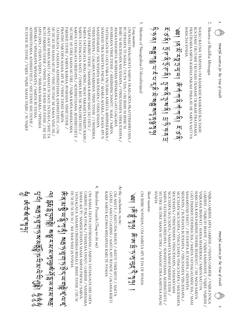erang<br>Mga Powerful Mantras for the Time of Death

4

 $\overline{\mathcal{L}}$ 2. Mantra of Buddha Mitrugpa Mantra of Buddha Mitrugpa

PRATIHANA SARVA KARMA PARAM PARA NI ME SARVA SATTVA ROCHANI TROTANI TROTANI TRASANI TRASANI PRATIHANA NAMO RATNA TRAYAYA OM KAMKANI KAMKANI ROCHANI **MANCHA SVAHA** NANCHA SVAHA PRATIHANA SARVA KARMA PARAM PARA NI ME SARVA SATTVA ROCHANI TROTANI TROTANI TRASANI TRASANI PRATIHANA NAMO RATNA TRAYAYA OM KAMKANI KAMKANI ROCHANI

\n (a) 
$$
\vec{B} = \vec{B} \cdot \vec{B} \cdot \vec{B} = \vec{B} \cdot \vec{B} \cdot \vec{B} = \vec{B} \cdot \vec{B} \cdot \vec{B} = \vec{B} \cdot \vec{B} \cdot \vec{B} = \vec{B} \cdot \vec{B} \cdot \vec{B} = \vec{B} \cdot \vec{B} \cdot \vec{B} \cdot \vec{B} = \vec{B} \cdot \vec{B} \cdot \vec{B} \cdot \vec{B} = \vec{B} \cdot \vec{B} \cdot \vec{B} \cdot \vec{B} \cdot \vec{B} = \vec{B} \cdot \vec{B} \cdot \vec{B} \cdot \vec{B} \cdot \vec{B} \cdot \vec{B} \cdot \vec{B} \cdot \vec{B} \cdot \vec{B} \cdot \vec{B} \cdot \vec{B} \cdot \vec{B} \cdot \vec{B} \cdot \vec{B} \cdot \vec{B} \cdot \vec{B} \cdot \vec{B} \cdot \vec{B} \cdot \vec{B} \cdot \vec{B} \cdot \vec{B} \cdot \vec{B} \cdot \vec{B} \cdot \vec{B} \cdot \vec{B} \cdot \vec{B} \cdot \vec{B} \cdot \vec{B} \cdot \vec{B} \cdot \vec{B} \cdot \vec{B} \cdot \vec{B} \cdot \vec{B} \cdot \vec{B} \cdot \vec{B} \cdot \vec{B} \cdot \vec{B} \cdot \vec{B} \cdot \vec{B} \cdot \vec{B} \cdot \vec{B} \cdot \vec{B} \cdot \vec{B} \cdot \vec{B} \cdot \vec{B} \cdot \vec{B} \cdot \vec{B} \cdot \vec{B} \cdot \vec{B} \cdot \vec{B} \cdot \vec{B} \cdot \vec{B} \cdot \vec{B} \cdot \vec{B} \cdot \vec{B} \cdot \vec{B} \cdot \vec{B} \cdot \vec{B} \cdot \vec{B} \cdot \vec{B} \cdot \vec{B} \cdot \vec{B} \cdot \vec{B} \cdot \vec{B} \cdot \vec{B} \cdot \vec{B} \cdot \vec{B} \cdot \vec{B} \cdot \vec{B} \cdot \vec{B} \cdot \vec{B} \cdot \vec{B} \cdot \vec{B} \cdot \vec{B} \cdot \vec{B} \cdot \vec{B} \cdot \vec{B} \cdot \vec{B} \cdot \vec{B} \cdot \vec{B} \cdot \vec
$$

3. Mantras of Namgyalma (Ushnishvijaya) 3. Mantras of Namgyalma (Ushnishvijaya)

SVABHAVA VISHUDDHE / ABHISHINCHANTU MAM / SARVA BUDDHE BUDDHE / VAJRE VAJRE MAHA VAJRE / SUVAJRE ADHISHTHANA ADHISHTHTE / SHUDDHE SHUDDHE / ADHISHTHANA ADHISHTHITE / SHUDDHE SHUDDHE / SPHARA / SPHARAYA SPHARAYA / SARVA BUDDHA JAYA JAYA / VIJAYA VIJAYA / SMRARA SMRARA / SPHARA JAYA JAYA / VIJAYA VIJAYA / SMRARA SMRARA / SPHARA KOTI PARISHUDDHE / VISPHUTA BUDDHE SHUDDHE / HE HE MATI MATI MAHA MATI / MAMATI SUMATI TATHATA / BHUTA / INOMIA <del>VHV</del>N INOMIA INOMIA / INOM <del>VHV</del>N INOM INOM PRATINI VARTAYA MAMA AYUR / VISHUDDHE SARVA PARISHUDDHE / SARVA KARMA AVARANA VISHUDDHE / MUDRE MUDRE MAHA MUDRE / VAJRA KAYA SAMHATANA SARVA TATHAGATA HRIDAYA / ADHISHTHANA ADHISHTHITE SARVA TATHAGATA MATE / DASHA BHUMI PRATISHTHITE / SARVA TATHAGATA AVALOKINI / SHAT PARAMITA PARIPURANI / VIJAYA PARISHUDDHE / SAHASRA RASMI SANCHO DITE / VIJAYA PARISHUDDHE / SAHASRA RASMI SANCHO DITE / NISHODHAYA / GAGANA SVABHAVA VISHUDDHE / USHNISHA VISHODHAYA / GAGANA SVABHAVA VISHUDDHE / USHNISHA SAMDHARANI / SHODHAYA SHODHAYA / VISHODHAYA MAHAMUDRA MANTRA PADAI / AHARA AHARA / MAMA AYUS TATHAGATA SUGATA VARA VACHANA AMRITA ABHISHEKARA. ASAMA SAMANTA AVABHASA SPHARANA GATI GAGANA ASAMA SAMANTA AVABHASA SPHARANA GATI GAGANA AYAHQOHSIV AYAA SHODHAYA / VISHODHAYA VISHODHAYA / BUDDHAYA TE NAMA / TA YA THA / OM BHRUM BHRUM OM NAMO BHAGAVATE SARVA TRAILOKYA PRATIVISHISHTAYA / BUDDHE BUDDHE / VAJRE VAJRE MAHA VAJRE / SUV SPHARA / SPHARAYA SPHARAYA / SARVA BUDDHA KOTI PARISHUDDHE / VISPHUTA BUDDHE SHUDDHE / HE HE MATI MATI MAHA MATI / MAMATI SUMATI TATHATA / BHUTA MUNI MUNI MAHA MUNI / VIMUNI VIMUNI MAHA VIMUNI / TATHAGATA / SAMAYA ADHISHTHANA ADHISHTHITE / OM TATHAGATA / SAMAYA ADHISHTHANA ADHISHTHITE / OM PRATINI VARTAYA MAMA AYUR / VISHUDDHE SARVA PARISHUDDHE / SARVA KARMA AVARANA VISHUDDHE / MUDRE MUDRE MAHA MUDRE / VAJRA KAYA SAMHATANA SARVA TATHAGATA HRIDAYA / ADHISHTHANA ADHISHTHITE / SARVA TATHAGATA MATE / DASHA BHUMI PRATISHTHITE / SARVA TATHAGATA AVALOKINI / SHAT PARAMITA PARIPURANI / SAMDHARANI / SHODHAYA SHODHAYA / VISHODHAYA MAHAMUDRA MANTRA PADAI / AHARA AHARA / MAMA AYUS TATHAGATA SUGATA VARA VACHANA AMRITA ABHISHEKARA / SVABHAVA VISHUDDHE / ABHISHINCHANTU MAM / SARVA BHRUM SHODHAYA SHODHAYA / VISHODHAYA VISHODHAYA / BUDDHAYA TE NAMA / TA YA THA / OM BHRUM BHRUM OM NAMO BHAGAVATE SARVA TRAILOKYA PRATIVISHISHTAYA / Long mantra. Long mantra:

Powerful Mantras for the Time of Death Powerful Mantras for the Time of DeathPowerful Mantras for the Time of Death en<br>Sterftes<br>Les

 $\mathbf{v}$ 

SARVA TATHAGATA HRIDAYA / ADHISHTHANA ADHISHTHITE / A AYAH / BODHAYA BODHAYA / VIBODHAYA VIBODHAYA / **SHODHAYA / VISHODHAYA VISHODHAYA / SAMANTANA AXHOQUS \ANTU / BUDDHYA ANGIQUSA / SAVHSA MAS** GATI PARISHUDDHISHCHA / SARVA TATHAGATASHCHA / MAM NANCHA KAYA PARISHUDDHIR BHAVATU / ME SADA SARVA VAJRAMA BHAVATU MAMA SHARIRAM / SARVA SATTVA VAJRAMA BHAVATU MAMA SHARIRAM / SARVA SATTVA GARBHE / VAJROD BHAVE / VAJRA SAMBHAVE / VAJRE VAJRINI / VAJRA GARBHE JAYA GARBHE / VIJAYA GARBHE / VAJRA JVALA SVAHA MUDRE MUDRE MAHA MUDRE / MAHAMUDRA MANTRA PADA MUDRE MUDRE MAHA MUDRE / MAHAMUDRA MANTRA PADAI SARVA TATHAGATA HRIDAYA / ADHISHTHANA ADHISHTHITE / MOCHAYA MOCHAYA / SAMANTA RASMI PARISHUDDHE / MOCHAYA MOCHAYA / SAMANTA RASMI PARISHUDDHE / SHODHAYA / VISHODHAYA VISHODHAYA / SAMANTANA WOCHAYA MOCHAYA / VIMOCHAYA VIMOCHAYA / SHODHAYA MOCHAYA MOCHAYA / VIMOCHAYA VIMOCHAYA / SHODHAYA SIDDHYA / BODHAYA BODHAYA / VIBODHAYA VIBODHAYA / SAMASHVAS YANTU / BUDDHYA BUDDHYA / SIDDHYA GATI PARISHUDDHISHCHA / SARVA TATHAGATASHCHA / MAM NANCHA KAYA PARISHUDDHIR BHAVATU / ME SADA SARVA GARBHE / VAJROD BHAVE / VAJRA SAMBHAVE / VAJRE VAJRINI / VAJRA GARBHE JAYA GARBHE / VIJAYA GARBHE / VAJRA JVALA

Short mantra: Short mantra:

OM BHRUM SVAHA / OM AMRITA AYUR DA DE SVAHA OM BHRUM SVAHA / OM AMRITA AYUR DA DE SVAHA

<u>्रूते । हि</u>  $\partial \mathbf{u}$ الا∕دھ اکھ —<br>%्र جو<br>ديور اک<br>ای<br>ای 第<br>亚 الا∆ھ اکھ  $\overline{\phantom{a}}$ 

At the conclusion, recite: At the conclusion, recite:

GATRE / AMITO GAMINI / AMITA AYURDADE / GAGANA KIRTI OM AMITE / AMITODA BHAVE / AMITE VIKRANTE / AMITA KARE SARVA KLESHA KSHAYAM KARI YE SVAHA KARE SARVA KLESHA KSHAYAM KARI YE SVAHA GATRE / AMITO GAMINI / AMITA AYURDADE / GAGANA KIRTI OM AMITE / AMITODA BHAVE / AMITE VIKRANTE / AMITA

 $\ddot{+}$ 4. Stainless Pinnacle (Stainless Pinnacle (Tsug tor dri me) Tsug tor dri me

OM NAMA TREYA DHVIKANAM / SARVA TATHAGATA HRI DAYA GARBHE JVALA JVALA / DHARMA DHATU GARBHE / SAMBHARA HUM HUM HUM / AM BAM SAM JA SVAHA HUM HUM HUM / AM BAM SAM JA SVAHA TATHAGATA SAMANTOSHNISHA BIMALE BISHUDDHE / HUM MAMA AH YU SAMSHODHAYA MAMA SARVA PAPAM / SARVA MAMA AH YU SAMSHODHAYA MAMA SARVA PAPAM / SARVA GARBHE JVALA JVALA / DHARMA DHATU GARBHE / SAMBHARA OM NAMA TREYA DHVIKANAM / SARVA TATHAGATA HRI DAYA TATHAGATA SAMANTOSHNISHA BIMALE BISHUDDHE / HUM

<u>ጁ</u>ት ्<br>अन्  $\mathcal{S}(\mathbb{Z}/\mathbb{Z})$ <u>።</u>  $\widetilde{\mathsf{M}}$ नालें| रूम्रा*'*)<br>नाले ,- $\frac{1}{2}$  $\frac{1}{2}$ ار<br>اند<br>النظ ওচ্যু $\boldsymbol{\nu}$  $\sum_{i=1}^N$  $\mathcal{M}_{\mathbf{N}}$  $\boldsymbol{\mathcal{P}}$  $\frac{30}{24}$ K $\frac{1}{2}$  $\frac{30\mu}{\mu}$ <u>么</u> থায় )<br>오<u>여</u> **R-43**<br>000<br>000 ्रेश<br>अर्ग -;-3-3-?jn<br>Pa **VI<br>NA XI<br>Co** ,- $\frac{4}{3}$  $\frac{1}{2}$  $\widetilde{\mathbb{R}}_2^{\mathbb{R}}$  $\vec{\mathrm{A}}$ i <u>भू</u><br>पुर  $\frac{2}{3}$ ৫২)ত ৫২)ত ৫২)ত  $\overline{\mathbb{Z}}$ ত  $\mathbf{\Sigma}_{\mathbf{e}}$ 2(-  $\mathbf{z}_0$  $\mathcal{M}_{\mathbf{S}}$ الا∆ھ @ .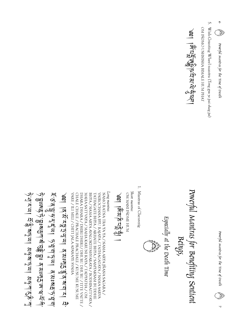Powerful Mantras for the Time of Death

 $\overline{v}$ 

 $\circ$ S. Wish-Granting Wheel mantra (Tong gyu ye pai shag pa) est.<br>Se Powerful Mantras for the Time of Death

OM PÄDMO USHNISHA BIMALE HUM PHAT

**1974 - ANGERIC ANGELISAN**<br>1981 - ANGELISANG ANGEL

Powerful Mantras for Benefiting Sentient Beings,

Especially at the Death Time



Mantras of Chenrezig

Short mantra:<br>OM MANI PÄDME HUM

१९५१ हिंदार देतु ।

Long mantra:

VARE / ILI MILI / CHITI JALA APANAYE SVAHA CHALE CHALE / PRACHALE PRACHALE / KUSUME KUSUME DHARA DHARA / DHIRI DHIRI / DHURU DHURU / ITTE VATTE / MAHA SATTVAYA / MAHA KARUNI KAYA / TADYATHA / OM BHYA / NAMA ARYA AVALOKITESHVARAYA / BODHISATTVAYA / TATHAGATE BHYA / ARHATE BHYA / SAMYAKSAM BUDDHE NAMO RATNA TRA YA YA YAMA ARYA JÑANA SAGARA / VAIROCHANA BYU RAJAYA / TATHAGATAYA / NAMA SARVA

ك كان الكائم المركز المركز المركز المركز المركز المركز المركز المركز المركز المركز المركز المركز الم J.3308475;33934745;345;345345474;3474;3475;3494474;3543474;35;3453434447;35;3453454;34;34;34;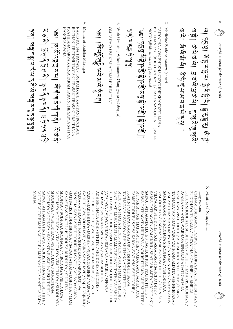| 4. Mantra of Buddha Mitrugpa<br>3. Wish-Granting Wheel mantra (Tong gyu ye pai shag pa)<br>Z.<br>Medicine Buddha mantra (short)<br>NAMO RATNA TRAYAYA / OM KAMKANI KAMKANI ROCHANI<br>OM PÄDMO USHNISHA BIMALE HUM PHAT<br><b>NANCHA SVAHA</b><br>PRATIHANA SARVA KARMA PARAM PARA NI ME SARVA SATTVA<br>BHEKHANDZYE [BHEKHANDZYE] / RADZA SAMUDGATE SVAHA<br>ROCHANI TROTANI TROTANI TRASANI TRASANI PRATIHANA<br>TADYATHA / OM BHEKHANDZYE BHEKHANDZYE MAHA<br>A:从1 &:A:3:A1 \$?,从2:W:A:A:W:A:3:A1 1<br>u1 75g 超1 8km 片坝-T 5g H的-E 1 6g Hag To 10g Hag To 10g Hag To 10g Hag To 10g Hag To 10g Hag To<br>山瓜鱼的小鱼鱼<br>१९८१ में १९८१ में १९८१ में १९८१ में १९८१ में १९८१ में १९८१ में १९८१ में १९८१ में १९८१ में १९८१ में १९८१ में १९८<br>NOTE: Syllables in brackets [ ] are optional<br>ेखा । विधि म्द्रद्वपूर्ण के नी विधि में उन्हें प्रभाग के नी नी वि<br>led England England England | estados<br>Partidos<br>Powerful Mantras for the Time of Death | Powerful Mantras for the Time of Death                                                              |
|-------------------------------------------------------------------------------------------------------------------------------------------------------------------------------------------------------------------------------------------------------------------------------------------------------------------------------------------------------------------------------------------------------------------------------------------------------------------------------------------------------------------------------------------------------------------------------------------------------------------------------------------------------------------------------------------------------------------------------------------------------------------------------------------------------------------------------------------------------------------------------------------|---------------------------------------------------------------|-----------------------------------------------------------------------------------------------------|
|                                                                                                                                                                                                                                                                                                                                                                                                                                                                                                                                                                                                                                                                                                                                                                                                                                                                                           |                                                               | S.<br>Mantras of Namgyalma                                                                          |
|                                                                                                                                                                                                                                                                                                                                                                                                                                                                                                                                                                                                                                                                                                                                                                                                                                                                                           |                                                               | Long mantra:                                                                                        |
|                                                                                                                                                                                                                                                                                                                                                                                                                                                                                                                                                                                                                                                                                                                                                                                                                                                                                           |                                                               | BUDDHAYA TE NAMA / TADYATHA / OM BHRUM BH<br>$_{\rm NC}$<br>NAMO BHAGAVATE SARVA TRAILOKYA PRATIVIS |
|                                                                                                                                                                                                                                                                                                                                                                                                                                                                                                                                                                                                                                                                                                                                                                                                                                                                                           |                                                               | BHRUM SHODHAYA SHODHAYA / VISHODHAYA VISH                                                           |
|                                                                                                                                                                                                                                                                                                                                                                                                                                                                                                                                                                                                                                                                                                                                                                                                                                                                                           |                                                               | ASAMA SAMANTA AVABHASA SPHARANA GATI GAGA                                                           |
|                                                                                                                                                                                                                                                                                                                                                                                                                                                                                                                                                                                                                                                                                                                                                                                                                                                                                           |                                                               | SVABHAVA VISHUDDHE / ABHISHINCHANTU MAM<br>TATHAGATA SUGATA VARA VACHANA AMRITA ABHI                |
|                                                                                                                                                                                                                                                                                                                                                                                                                                                                                                                                                                                                                                                                                                                                                                                                                                                                                           |                                                               | SAMDHARANI / SHODHAYA SHODHAYA / VISHODH2<br>MAHAMUDRA MANTRA PADAI / AHARA AHARA / MA              |
|                                                                                                                                                                                                                                                                                                                                                                                                                                                                                                                                                                                                                                                                                                                                                                                                                                                                                           |                                                               | VISHODHAYA / GAGANA SVABHAVA VISHUDDHE.                                                             |
|                                                                                                                                                                                                                                                                                                                                                                                                                                                                                                                                                                                                                                                                                                                                                                                                                                                                                           |                                                               | SARVA TATHAGATA AVALOKINI / SHAT PARAMITA PA<br>VIJAYA PARISHUDDHE / SAHASRA RASMI SANCHO D         |
|                                                                                                                                                                                                                                                                                                                                                                                                                                                                                                                                                                                                                                                                                                                                                                                                                                                                                           |                                                               | SARVA TATHAGATA MATE / DASHA BHUMI PRATISHI                                                         |
|                                                                                                                                                                                                                                                                                                                                                                                                                                                                                                                                                                                                                                                                                                                                                                                                                                                                                           |                                                               | SARVA TATHAGATA HRIDAYA / ADHISHTHANA ADHI<br>MUDRE MUDRE MAHA MUDRE / VAJRA KAYA SAMH              |
|                                                                                                                                                                                                                                                                                                                                                                                                                                                                                                                                                                                                                                                                                                                                                                                                                                                                                           |                                                               | PRATINI VARTAYA MAMA AYUR / VISHUDDHE SARVA<br>PARISHUDDHE / SARVA KARMA AVARANA VISHUDDI           |
|                                                                                                                                                                                                                                                                                                                                                                                                                                                                                                                                                                                                                                                                                                                                                                                                                                                                                           |                                                               | THTHSIHQATA / SAMAYA ADHISHTHANA ADHISHTHT                                                          |
|                                                                                                                                                                                                                                                                                                                                                                                                                                                                                                                                                                                                                                                                                                                                                                                                                                                                                           |                                                               | A PHYN INONIA INONIA / INON PHYN INON INON                                                          |
|                                                                                                                                                                                                                                                                                                                                                                                                                                                                                                                                                                                                                                                                                                                                                                                                                                                                                           |                                                               | KOTI PARISHUDDHE / VISPHUTA BUDDHE SHUDDH<br>MATI MATI MAHA MATI / MAMATI SUMATI TATHATA            |
|                                                                                                                                                                                                                                                                                                                                                                                                                                                                                                                                                                                                                                                                                                                                                                                                                                                                                           |                                                               | SPHARA / SPHARAYA SPHARAYA / SARVA BUDDHA<br>JAYA JAYA / VIJAYA VIJAYA / SMRARA SMRARA / SPH.       |
|                                                                                                                                                                                                                                                                                                                                                                                                                                                                                                                                                                                                                                                                                                                                                                                                                                                                                           |                                                               | ADHISHTHANA ADHISHTHTE / SHUDDHE SHUDDH                                                             |
|                                                                                                                                                                                                                                                                                                                                                                                                                                                                                                                                                                                                                                                                                                                                                                                                                                                                                           |                                                               | BUDDHE BUDDHE / VAJRE VAJRE MAHA VAJRE / SU'<br>VAJRA GARBHE JAYA GARBHE / VIJAYA GARBHE / VA       |
|                                                                                                                                                                                                                                                                                                                                                                                                                                                                                                                                                                                                                                                                                                                                                                                                                                                                                           |                                                               | VAJRAMA BHAVATU MAMA SHARIRAM / SARVA SATT<br>GARBHE / VAJROD BHAVE / VAJRA SAMBHAVE / VAJR         |
|                                                                                                                                                                                                                                                                                                                                                                                                                                                                                                                                                                                                                                                                                                                                                                                                                                                                                           |                                                               | GATI PARISHUDDHISHCHA / SARVA TATHAGATASHC<br>NANCHA KAYA PARISHUDDHIR BHAVATU / ME SADA            |
|                                                                                                                                                                                                                                                                                                                                                                                                                                                                                                                                                                                                                                                                                                                                                                                                                                                                                           |                                                               | SIDENA / BODHAYA BODHAYA / VIBODHAYA VIBO<br>SAMASERAY YANTU / BUDDHYA ABUDDHYA / SIDDHYA           |
|                                                                                                                                                                                                                                                                                                                                                                                                                                                                                                                                                                                                                                                                                                                                                                                                                                                                                           |                                                               | MOCHAYA MOCHAYA / VIMOCHAYA VIMOCHAYA ,                                                             |
|                                                                                                                                                                                                                                                                                                                                                                                                                                                                                                                                                                                                                                                                                                                                                                                                                                                                                           |                                                               | SHODHAYA / VISHODHAYA VISHODHAYA / SAMANT<br>MOCHAYA MOCHAYA / SAMANTA RASMI PARISHUDI              |
|                                                                                                                                                                                                                                                                                                                                                                                                                                                                                                                                                                                                                                                                                                                                                                                                                                                                                           |                                                               | SARVA TATHAGATA HRIDAYA / ADHISHTHANA ADHI<br>MUDRE MUDRE MAHA MUDRE / MAHAMUDRA MAN                |
| १८१   अस्त्रानुक्षां या देखि बैठ बैठ बैठ<br>१८१   अस्ति बैठ बै                                                                                                                                                                                                                                                                                                                                                                                                                                                                                                                                                                                                                                                                                                                                                                                                                            |                                                               | <b>SVAHA</b>                                                                                        |

Powerful Mantras for the Time of Death

 $\circ$ 

SARVA TATHAGATA HRIDAYA / ADHISHTHANA ADHISHTHITE / SARVA TATHAGATA HRIDAYA / ADHISHTHANA ADHISHTHITE , SARVA TATHAGATA MATE / DASHA BHUMI PRATISHTHITE / SARVA TATHAGATA AVALOKINI / SHAT PARAMITA PARIPURANI / **SAMDHARANI / SHODHAYA SHODHAYA / VISHODHAYA** SVABHAVA VISHUDDHE / ABHISHINCHANTU MAM / SARVA **SHODHAYA / VISHODHAYA VISHODHAYA / SAMANTANA** A AYAH / BODHAYA BODHAYA / VIBODHAYA VIBODHAYA / **AMASHVAS YAVIU / BUDDHYA ARUDDHYA / SIDDHYA** GATI PARISHUDDHISHCHA / SARVA TATHAGATASHCHA / MAM VAJRAMA BHAVATU MAMA SHARIRAM / SARVA SATTVA GARBHE / VAJROD BHAVE / VAJRA SAMBHAVE / VAJRE VAJRINI VAJRA GARBHE JAYA GARBHE / VIJAYA GARBHE / VAJRA JVALA ADHISHTHANA ADHISHTHITE / SHUDDHE SHUDDHE / SPHARA / SPHARAYA SPHARAYA / SARVA BUDDHA JAYA JAYA / VIJAYA VIJAYA / SMRARA SMRARA / SPHARA WIAYA PARISHUDDHE / SAHASRA RASMI SANCHO DITE / VIJAYA PARISHUDDHE / SAHASRA RASMI SANCHO DITE / MISHODHAYA / GAGANA SVABHAVA VISHUDDHE / USHNISHA VISHODHAYA / GAGANA SVABHAVA VISHUDDHE / USHNISHA MAHAMUDRA MANTRA PADAI / AHARA AHARA / MAMA AYUS ASAMA SAMANTA AVABHASA SPHARANA GATI GAGANA BUDDHAYA TE NAMA / TADYATHA / OM BHRUM BHRUM SVAHA MUDRE MUDRE MAHA MUDRE / MAHAMUDRA MAN'IRA PADAJ MUDRE MUDRE MAHA MUDRE / MAHAMUDRA MANTRA PADAI SARVA TATHAGATA HRIDAYA / ADHISHTHANA ADHISHTHITE / MOCHAYA MOCHAYA / SAMANTA RASMI PARISHUDDHE / MOCHAYA MOCHAYA / SAMANTA RASMI PARISHUDDHE / SHODHAYA / VISHODHAYA VISHODHAYA / SAMANTANA MOCHAYA MOCHAYA / VIMOCHAYA VIMOCHAYA / SHODHAYA MOCHAYA MOCHAYA / VIMOCHAYA VIMOCHAYA / SHODHAYA SIDDHYA / BODHAYA BODHAYA / VIBODHAYA VIBODHAYA / SAMASHVAS YANTU / BUDDHYA BUDDHYA / SIDDHYA GATI PARISHUDDHISHCHA / SARVA TATHAGATASHCHA / MAM NANCHA KAYA PARISHUDDHIR BHAVATU / ME SADA SARVA NANCHA KAYA PARISHUDDHIR BHAVATU / ME SADA SARVA VAJRAMA BHAVATU MAMA SHARIRAM / SARVA SATTVA GARBHE / VAJROD BHAVE / VAJRA SAMBHAVE / VAJRE VAJRINI / VAJRA GARBHE JAYA GARBHE / VIJAYA GARBHE / VAJRA JVALA BUDDHE BUDDHE / VAJRE VAJRE MAHA VAJRE / SUVAJRE BUDDHE BUDDHE / VAJRE VAJRE MAHA VAJRE / SUV ADHISHTHANA ADHISHTHITE / SHUDDHE SHUDDHE / SPHARA / SPHARAYA SPHARAYA / SARVA BUDDHA JAYA JAYA / VIJAYA VIJAYA / SMRARA SMRARA / SPHARA КОП РАВІЗНОРНЕ / VISPHUTA BUDDHE SHUDDHE / HE HE KOTI PARISHUDDHE / VISPHUTA BUDDHE SHUDDHE / HE HE MATI MATI MAHA MATI / MAMATI SUMATI TATHATA / BHUTA MATI MATI MAHA MATI / MAMATI SUMATI TATHATA / BHUTA INOMIA <del>vhy</del>n inomia inomia / inom vhyn inom inom MUNI MUNI MAHA MUNI / VIMUNI VIMUNI MAHA VIMUNI / TATHAGATA / SAMAYA ADHISHTHANA ADHISHTHITE / OM PRATINI VARTAYA MAMA AYUR / VISHUDDHE SARVA PRATINI VARTAYA MAMA AYUR / VISHUDDHE SARVA PARISHUDDHE / SARVA KARMA AVARANA VISHUDDHE / PARISHUDDHE / SARVA KARMA AVARANA VISHUDDHE / MUDRE MUDRE MAHA MUDRE / VAJRA KAYA SAMHATANA MUDRE MUDRE MAHA MUDRE / VAJRA KAYA SAMHATANA SARVA TATHAGATA HRIDAYA / ADHISHTHANA ADHISHTHITE / SARVA TATHAGATA MATE / DASHA BHUMI PRATISHTHITE / SARVA TATHAGATA AVALOKINI / SHAT PARAMITA PARIPURANI / SAMDHARANI / SHODHAYA SHODHAYA / VISHODHAYA MAHAMUDRA MANTRA PADAI / AHARA AHARA / MAMA AYUS TATHAGATA SUGATA VARA VACHANA AMRITA ABHISHEKARA , TATHAGATA SUGATA VARA VACHANA AMRITA ABHISHEKARA / SVABHAVA VISHUDDHE / ABHISHINCHANTU MAM / SARVA ASAMA SAMANTA AVABHASA SPHARANA GATI GAGANA BHRUM SHODHAYA SHODHAYA / VISHODHAYA VISHODHAYA , BHRUM SHODHAYA SHODHAYA / VISHODHAYA VISHODHAYA / BUDDHAYA TE NAMA / TADYATHA / OM BHRUM BHRUM OM NAMO BHAGAVATE SARVA TRAILOKYA PRATIVISHISHTAYA / OM NAMO BHAGAVATE SARVA Long mantra: IATHAGATA / SAMAYA ADHISHTHANA ADHISHTHITE / OM Long mantra TRAILOKYA PRATIVISHISHTAYA /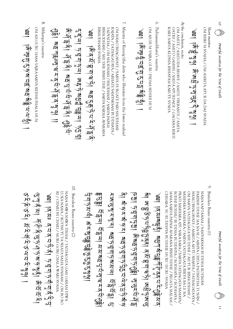| $\infty$<br>Milarepa's mantra<br>OM AH GURU HASA VAJAS ARVA SADDHI PHALA HUM<br><b>GA) AH'Taragit A'A'A'A'A'A'A'A'</b><br>(991) 「冥"名[3]:3]:3]:3]:2[刀]:2[刃]:2[刃];3]:2[边];3]<br>T.E. 12:31:21:31:31:34:35:34:35:31:35:31:11:31:31:41:32:31:32:31:32:31:32:31:32:32:32:32:32:32:32:31                                                                                                                                          | 7. Mantra of Kunrig (the deity who liberates from the lower realms)<br>OM NAMO BHAGAVATE / SARVA DURGATE PARI SHODHANI<br>BISHODHANI / SHUDHE BISHUDHE / SARVA KARMA AVARANA<br>TADYATHA / OM SHODHANI / SHODHANI / SARVA PAPAM<br>RAJAYA / TATHAGATAYA / ARHATE SAMYAKSAM BUDDHAYA /<br><b>AHAN INAHOLISIB</b><br><b>691 【图中的:如下的一名也是中心的生活的吧。</b> | $\circ$<br>Padmasambhava's mantra<br>OM AH HUM VAJRA GURU PÄDMA SIDDHI HUM<br>(991 「冥冥器外口风白(从口巩宏),一                                                                                                                   | At the conclusion, recite:<br>GATRE / AMITO GAMINI / AMITA AYURDADE / GAGANA KIRTI<br>KARE SARVA KLESHA KSHAYAM KARI YE SVAHA<br>OM AMITE / AMITODA BHAVE / AMITE VIKRANTE / AMITA<br>  ស្តី  ស្តី  ស្តី  ស្តី  ស្តី  ស្តី  <br>  ស្តី  ស្តី  ស្តី  ស្តី  ស្តី  ស្តី                                                                                                          | Short mantra<br>OM BHRUM SVAHA / OM AMRITA AYUR DA DA BASAHA                                                                              | $\overline{O}$<br><b>Algebra</b><br>Powerful Mantras for the Time of Death |
|-----------------------------------------------------------------------------------------------------------------------------------------------------------------------------------------------------------------------------------------------------------------------------------------------------------------------------------------------------------------------------------------------------------------------------|----------------------------------------------------------------------------------------------------------------------------------------------------------------------------------------------------------------------------------------------------------------------------------------------------------------------------------------------------|-----------------------------------------------------------------------------------------------------------------------------------------------------------------------------------------------------------------------|-------------------------------------------------------------------------------------------------------------------------------------------------------------------------------------------------------------------------------------------------------------------------------------------------------------------------------------------------------------------------------|-------------------------------------------------------------------------------------------------------------------------------------------|----------------------------------------------------------------------------|
| 10. Stainless Beam mantra (2)<br>RI / CHARI NI CHARI / MORI GORI CHALA WARI SVAHA<br>DRA NAMA / KOTINI YUTA SHATA SAHA SVANAM / OM BO BO<br>NAMA NAWA NAWA TINAM / TATHAGATA GAM GANAM DIWA<br>يما يوا المسافرين المسابق المسابق المسابق المسابق المسابق المسابق المسابق المسابق المسابق المسابق ال<br>5.5.75.5.71 37.5.74.55.74.75.74.75.74.751 1<br>ेख्या  व्रॅंट्रा व्रॅंट्रॉट्रॉट्रॉप्रॅंट्रॉप्रॉर्ज्या क्रिया हिंदी व् | Sh Wirishingiyi Manjuğaliyi Shirishingiyi<br>HW:gzin"AiHI AEF,vigin"FAisturI Einjin"Ai                                                                                                                                                                                                                                                             | शे। अनुसंग्नेद्वान वॅसं व्रांस्ना वॉर्या क्रांस्ना अधि<br><u>२७१ ए:स्याङ्ग्रा अध्यार्ट्रा अध्यार्ट्रा अध्यान्न । इ.स</u><br>ेखा । पुरुषदे द्वारा राष्ट्री विर्णार्थ । दुर्घ । दुर्घ । दुर्घ । दुर्घ । दुर्घ । दुर्घ । | SAMHARA SAMHARA / SARVA TATHAGATA BIRYA BA LE NA<br>MAMA SARVA PAPAM AVARANA BISHUDDHE / BIGATA MALAM /<br>BODHI BODHI/ BUDDHA BUDDHYA / BODHAYA / BODHAYA<br>PRATI SAMHARA AYU SARA SARA / SARVA TATHAGATA SAMAYA/<br>OM SARVA TATHAGATA SHUDDHI / AH YUR BISHODHANI /<br>NAMO BHAGAVATE / AMRITA AH YU SHASYA / TATHAGATA SYA /<br>CHHARA SU BUDDHYA BUDDHE HURU HURU SVAHA | $\infty$<br>Stainless Beam mantra (1)<br>PARISHUDDHE MA NA SI / ABHYA CHITA PATISHTHA TUNÄN /<br>NAMA SAPTANAM / SAMYAKSAM BUDDHA KOTINÄN | Powerful Mantras for the Time of Death<br>essen<br>Senator<br>Senator      |